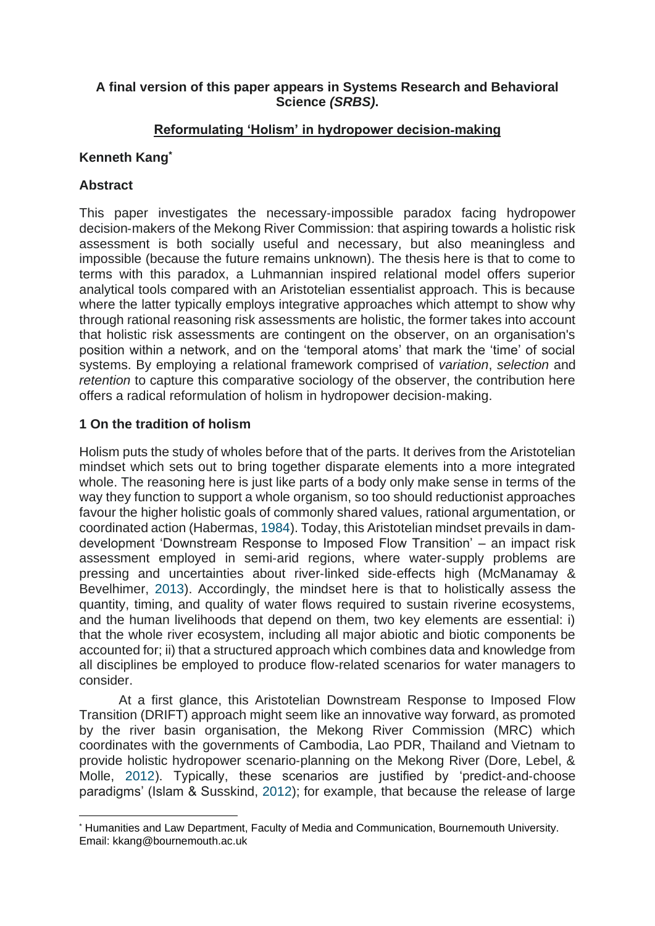### **A final version of this paper appears in Systems Research and Behavioral Science** *(SRBS)***.**

### **Reformulating 'Holism' in hydropower decision**‐**making**

# **Kenneth Kang\***

### **Abstract**

This paper investigates the necessary‐impossible paradox facing hydropower decision‐makers of the Mekong River Commission: that aspiring towards a holistic risk assessment is both socially useful and necessary, but also meaningless and impossible (because the future remains unknown). The thesis here is that to come to terms with this paradox, a Luhmannian inspired relational model offers superior analytical tools compared with an Aristotelian essentialist approach. This is because where the latter typically employs integrative approaches which attempt to show why through rational reasoning risk assessments are holistic, the former takes into account that holistic risk assessments are contingent on the observer, on an organisation's position within a network, and on the 'temporal atoms' that mark the 'time' of social systems. By employing a relational framework comprised of *variation*, *selection* and *retention* to capture this comparative sociology of the observer, the contribution here offers a radical reformulation of holism in hydropower decision‐making.

# **1 On the tradition of holism**

Holism puts the study of wholes before that of the parts. It derives from the Aristotelian mindset which sets out to bring together disparate elements into a more integrated whole. The reasoning here is just like parts of a body only make sense in terms of the way they function to support a whole organism, so too should reductionist approaches favour the higher holistic goals of commonly shared values, rational argumentation, or coordinated action (Habermas, [1984\)](https://onlinelibrary.wiley.com/doi/full/10.1002/sres.2635#sres2635-bib-0011). Today, this Aristotelian mindset prevails in dam‐ development 'Downstream Response to Imposed Flow Transition' – an impact risk assessment employed in semi‐arid regions, where water‐supply problems are pressing and uncertainties about river‐linked side‐effects high (McManamay & Bevelhimer, [2013\)](https://onlinelibrary.wiley.com/doi/full/10.1002/sres.2635#sres2635-bib-0026). Accordingly, the mindset here is that to holistically assess the quantity, timing, and quality of water flows required to sustain riverine ecosystems, and the human livelihoods that depend on them, two key elements are essential: i) that the whole river ecosystem, including all major abiotic and biotic components be accounted for; ii) that a structured approach which combines data and knowledge from all disciplines be employed to produce flow‐related scenarios for water managers to consider.

At a first glance, this Aristotelian Downstream Response to Imposed Flow Transition (DRIFT) approach might seem like an innovative way forward, as promoted by the river basin organisation, the Mekong River Commission (MRC) which coordinates with the governments of Cambodia, Lao PDR, Thailand and Vietnam to provide holistic hydropower scenario‐planning on the Mekong River (Dore, Lebel, & Molle, [2012\)](https://onlinelibrary.wiley.com/doi/full/10.1002/sres.2635#sres2635-bib-0009). Typically, these scenarios are justified by 'predict-and-choose paradigms' (Islam & Susskind, [2012\)](https://onlinelibrary.wiley.com/doi/full/10.1002/sres.2635#sres2635-bib-0012); for example, that because the release of large

<sup>\*</sup> Humanities and Law Department, Faculty of Media and Communication, Bournemouth University. Email: kkang@bournemouth.ac.uk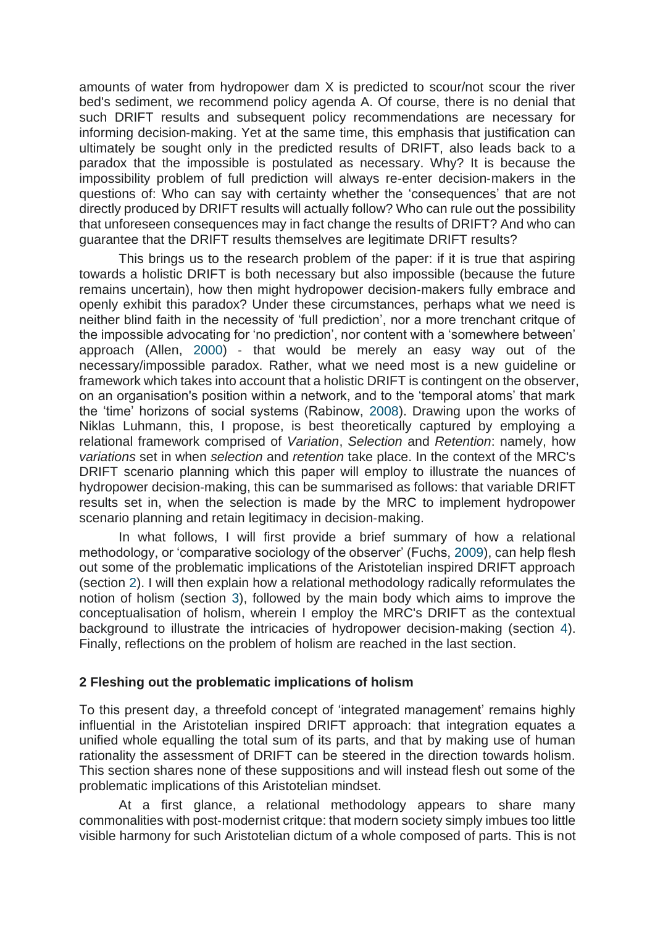amounts of water from hydropower dam X is predicted to scour/not scour the river bed's sediment, we recommend policy agenda A. Of course, there is no denial that such DRIFT results and subsequent policy recommendations are necessary for informing decision‐making. Yet at the same time, this emphasis that justification can ultimately be sought only in the predicted results of DRIFT, also leads back to a paradox that the impossible is postulated as necessary. Why? It is because the impossibility problem of full prediction will always re-enter decision-makers in the questions of: Who can say with certainty whether the 'consequences' that are not directly produced by DRIFT results will actually follow? Who can rule out the possibility that unforeseen consequences may in fact change the results of DRIFT? And who can guarantee that the DRIFT results themselves are legitimate DRIFT results?

This brings us to the research problem of the paper: if it is true that aspiring towards a holistic DRIFT is both necessary but also impossible (because the future remains uncertain), how then might hydropower decision‐makers fully embrace and openly exhibit this paradox? Under these circumstances, perhaps what we need is neither blind faith in the necessity of 'full prediction', nor a more trenchant critque of the impossible advocating for 'no prediction', nor content with a 'somewhere between' approach (Allen, [2000\)](https://onlinelibrary.wiley.com/doi/full/10.1002/sres.2635#sres2635-bib-0002) ‐ that would be merely an easy way out of the necessary/impossible paradox. Rather, what we need most is a new guideline or framework which takes into account that a holistic DRIFT is contingent on the observer, on an organisation's position within a network, and to the 'temporal atoms' that mark the 'time' horizons of social systems (Rabinow, [2008\)](https://onlinelibrary.wiley.com/doi/full/10.1002/sres.2635#sres2635-bib-0033). Drawing upon the works of Niklas Luhmann, this, I propose, is best theoretically captured by employing a relational framework comprised of *Variation*, *Selection* and *Retention*: namely, how *variations* set in when *selection* and *retention* take place. In the context of the MRC's DRIFT scenario planning which this paper will employ to illustrate the nuances of hydropower decision‐making, this can be summarised as follows: that variable DRIFT results set in, when the selection is made by the MRC to implement hydropower scenario planning and retain legitimacy in decision-making.

In what follows, I will first provide a brief summary of how a relational methodology, or 'comparative sociology of the observer' (Fuchs, [2009\)](https://onlinelibrary.wiley.com/doi/full/10.1002/sres.2635#sres2635-bib-0010), can help flesh out some of the problematic implications of the Aristotelian inspired DRIFT approach (section [2\)](https://onlinelibrary.wiley.com/doi/full/10.1002/sres.2635#sres2635-sec-0002). I will then explain how a relational methodology radically reformulates the notion of holism (section [3\)](https://onlinelibrary.wiley.com/doi/full/10.1002/sres.2635#sres2635-sec-0003), followed by the main body which aims to improve the conceptualisation of holism, wherein I employ the MRC's DRIFT as the contextual background to illustrate the intricacies of hydropower decision‐making (section [4\)](https://onlinelibrary.wiley.com/doi/full/10.1002/sres.2635#sres2635-sec-0004). Finally, reflections on the problem of holism are reached in the last section.

### **2 Fleshing out the problematic implications of holism**

To this present day, a threefold concept of 'integrated management' remains highly influential in the Aristotelian inspired DRIFT approach: that integration equates a unified whole equalling the total sum of its parts, and that by making use of human rationality the assessment of DRIFT can be steered in the direction towards holism. This section shares none of these suppositions and will instead flesh out some of the problematic implications of this Aristotelian mindset.

At a first glance, a relational methodology appears to share many commonalities with post‐modernist critque: that modern society simply imbues too little visible harmony for such Aristotelian dictum of a whole composed of parts. This is not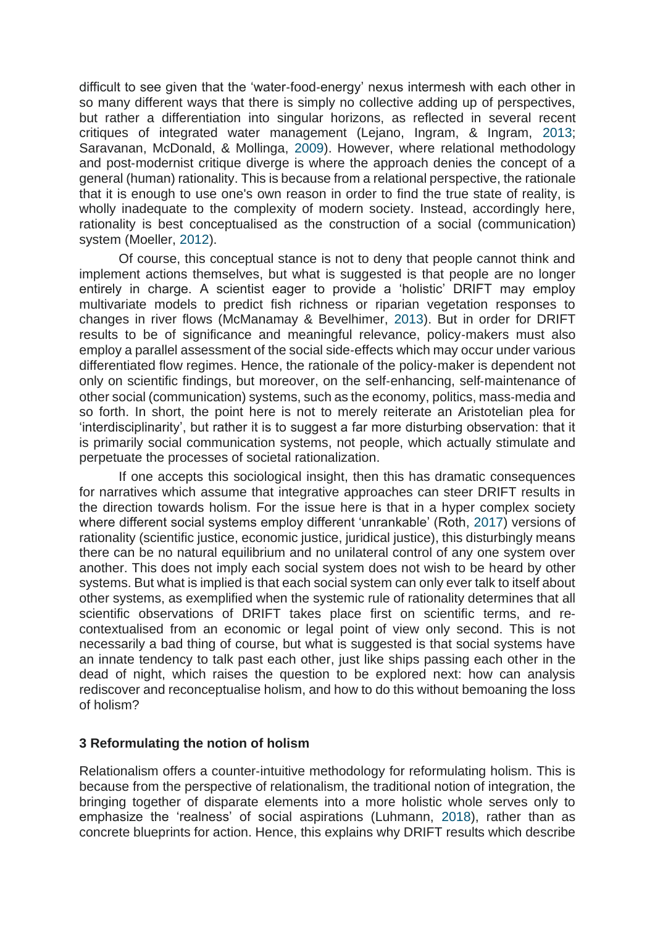difficult to see given that the 'water‐food‐energy' nexus intermesh with each other in so many different ways that there is simply no collective adding up of perspectives, but rather a differentiation into singular horizons, as reflected in several recent critiques of integrated water management (Lejano, Ingram, & Ingram, [2013;](https://onlinelibrary.wiley.com/doi/full/10.1002/sres.2635#sres2635-bib-0019) Saravanan, McDonald, & Mollinga, [2009\)](https://onlinelibrary.wiley.com/doi/full/10.1002/sres.2635#sres2635-bib-0037). However, where relational methodology and post-modernist critique diverge is where the approach denies the concept of a general (human) rationality. This is because from a relational perspective, the rationale that it is enough to use one's own reason in order to find the true state of reality, is wholly inadequate to the complexity of modern society. Instead, accordingly here, rationality is best conceptualised as the construction of a social (communication) system (Moeller, [2012\)](https://onlinelibrary.wiley.com/doi/full/10.1002/sres.2635#sres2635-bib-0027).

Of course, this conceptual stance is not to deny that people cannot think and implement actions themselves, but what is suggested is that people are no longer entirely in charge. A scientist eager to provide a 'holistic' DRIFT may employ multivariate models to predict fish richness or riparian vegetation responses to changes in river flows (McManamay & Bevelhimer, [2013\)](https://onlinelibrary.wiley.com/doi/full/10.1002/sres.2635#sres2635-bib-0026). But in order for DRIFT results to be of significance and meaningful relevance, policy-makers must also employ a parallel assessment of the social side‐effects which may occur under various differentiated flow regimes. Hence, the rationale of the policy‐maker is dependent not only on scientific findings, but moreover, on the self‐enhancing, self‐maintenance of other social (communication) systems, such as the economy, politics, mass-media and so forth. In short, the point here is not to merely reiterate an Aristotelian plea for 'interdisciplinarity', but rather it is to suggest a far more disturbing observation: that it is primarily social communication systems, not people, which actually stimulate and perpetuate the processes of societal rationalization.

If one accepts this sociological insight, then this has dramatic consequences for narratives which assume that integrative approaches can steer DRIFT results in the direction towards holism. For the issue here is that in a hyper complex society where different social systems employ different 'unrankable' (Roth, [2017\)](https://onlinelibrary.wiley.com/doi/full/10.1002/sres.2635#sres2635-bib-0035) versions of rationality (scientific justice, economic justice, juridical justice), this disturbingly means there can be no natural equilibrium and no unilateral control of any one system over another. This does not imply each social system does not wish to be heard by other systems. But what is implied is that each social system can only ever talk to itself about other systems, as exemplified when the systemic rule of rationality determines that all scientific observations of DRIFT takes place first on scientific terms, and re‐ contextualised from an economic or legal point of view only second. This is not necessarily a bad thing of course, but what is suggested is that social systems have an innate tendency to talk past each other, just like ships passing each other in the dead of night, which raises the question to be explored next: how can analysis rediscover and reconceptualise holism, and how to do this without bemoaning the loss of holism?

#### **3 Reformulating the notion of holism**

Relationalism offers a counter‐intuitive methodology for reformulating holism. This is because from the perspective of relationalism, the traditional notion of integration, the bringing together of disparate elements into a more holistic whole serves only to emphasize the 'realness' of social aspirations (Luhmann, [2018\)](https://onlinelibrary.wiley.com/doi/full/10.1002/sres.2635#sres2635-bib-0025), rather than as concrete blueprints for action. Hence, this explains why DRIFT results which describe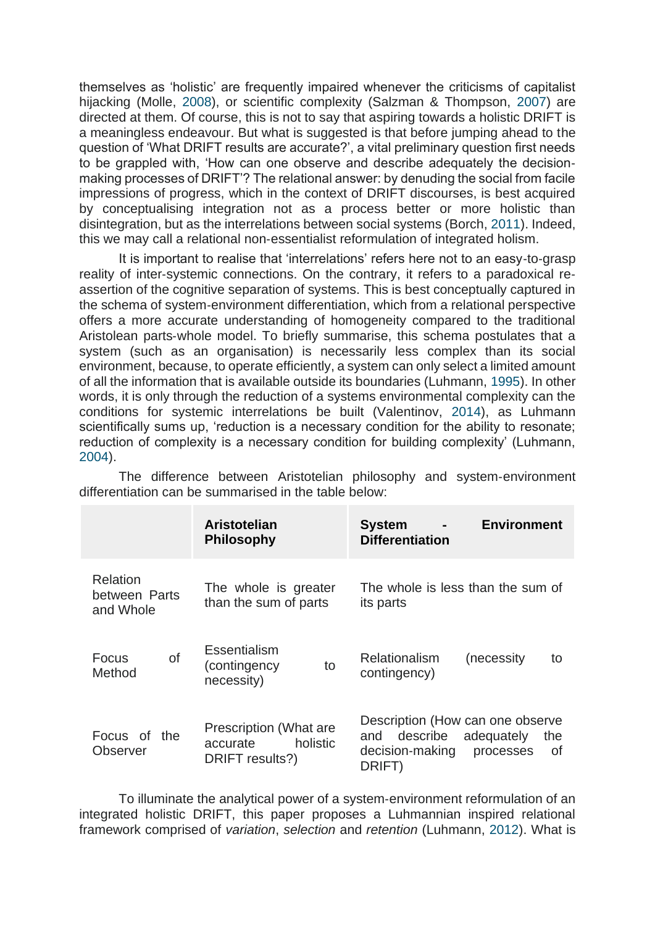themselves as 'holistic' are frequently impaired whenever the criticisms of capitalist hijacking (Molle, [2008\)](https://onlinelibrary.wiley.com/doi/full/10.1002/sres.2635#sres2635-bib-0028), or scientific complexity (Salzman & Thompson, [2007\)](https://onlinelibrary.wiley.com/doi/full/10.1002/sres.2635#sres2635-bib-0036) are directed at them. Of course, this is not to say that aspiring towards a holistic DRIFT is a meaningless endeavour. But what is suggested is that before jumping ahead to the question of 'What DRIFT results are accurate?', a vital preliminary question first needs to be grappled with, 'How can one observe and describe adequately the decision‐ making processes of DRIFT'? The relational answer: by denuding the social from facile impressions of progress, which in the context of DRIFT discourses, is best acquired by conceptualising integration not as a process better or more holistic than disintegration, but as the interrelations between social systems (Borch, [2011\)](https://onlinelibrary.wiley.com/doi/full/10.1002/sres.2635#sres2635-bib-0006). Indeed, this we may call a relational non‐essentialist reformulation of integrated holism.

It is important to realise that 'interrelations' refers here not to an easy-to-grasp reality of inter‐systemic connections. On the contrary, it refers to a paradoxical re‐ assertion of the cognitive separation of systems. This is best conceptually captured in the schema of system‐environment differentiation, which from a relational perspective offers a more accurate understanding of homogeneity compared to the traditional Aristolean parts‐whole model. To briefly summarise, this schema postulates that a system (such as an organisation) is necessarily less complex than its social environment, because, to operate efficiently, a system can only select a limited amount of all the information that is available outside its boundaries (Luhmann, [1995\)](https://onlinelibrary.wiley.com/doi/full/10.1002/sres.2635#sres2635-bib-0021). In other words, it is only through the reduction of a systems environmental complexity can the conditions for systemic interrelations be built (Valentinov, [2014\)](https://onlinelibrary.wiley.com/doi/full/10.1002/sres.2635#sres2635-bib-0039), as Luhmann scientifically sums up, 'reduction is a necessary condition for the ability to resonate; reduction of complexity is a necessary condition for building complexity' (Luhmann, [2004\)](https://onlinelibrary.wiley.com/doi/full/10.1002/sres.2635#sres2635-bib-0023).

|                                        | Aristotelian<br><b>Philosophy</b>                                 | <b>Environment</b><br><b>System</b><br>$\blacksquare$<br><b>Differentiation</b>                                          |
|----------------------------------------|-------------------------------------------------------------------|--------------------------------------------------------------------------------------------------------------------------|
| Relation<br>between Parts<br>and Whole | The whole is greater<br>than the sum of parts                     | The whole is less than the sum of<br>its parts                                                                           |
| of<br>Focus<br>Method                  | <b>Essentialism</b><br>(contingency)<br>to<br>necessity)          | <b>Relationalism</b><br>(necessity<br>to<br>contingency)                                                                 |
| Focus of the<br>Observer               | Prescription (What are<br>holistic<br>accurate<br>DRIFT results?) | Description (How can one observe<br>adequately<br>describe<br>the<br>and<br>decision-making<br>0f<br>processes<br>DRIFT) |

The difference between Aristotelian philosophy and system‐environment differentiation can be summarised in the table below:

To illuminate the analytical power of a system‐environment reformulation of an integrated holistic DRIFT, this paper proposes a Luhmannian inspired relational framework comprised of *variation*, *selection* and *retention* (Luhmann, [2012\)](https://onlinelibrary.wiley.com/doi/full/10.1002/sres.2635#sres2635-bib-0024). What is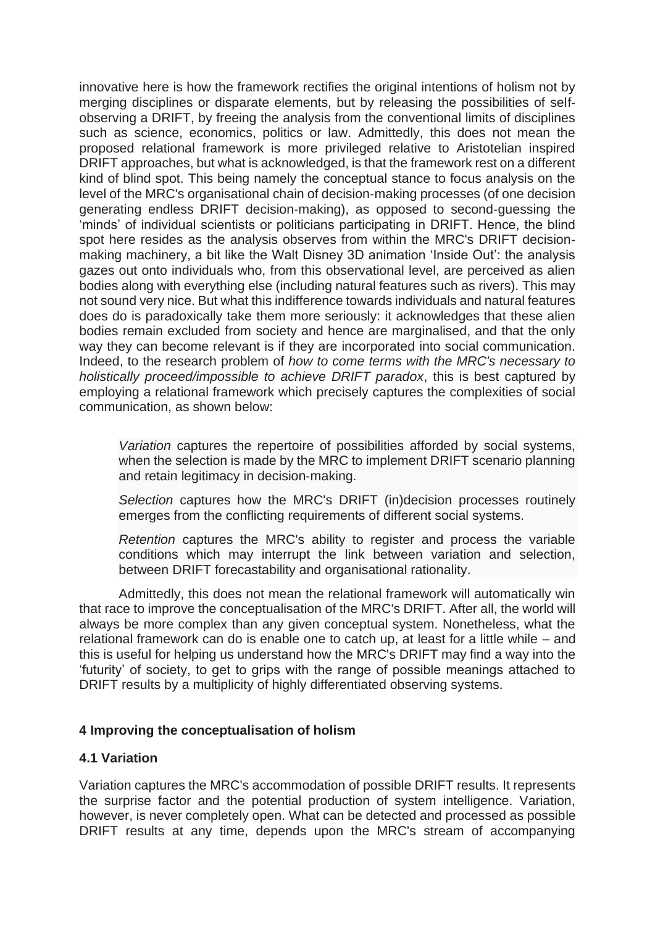innovative here is how the framework rectifies the original intentions of holism not by merging disciplines or disparate elements, but by releasing the possibilities of self‐ observing a DRIFT, by freeing the analysis from the conventional limits of disciplines such as science, economics, politics or law. Admittedly, this does not mean the proposed relational framework is more privileged relative to Aristotelian inspired DRIFT approaches, but what is acknowledged, is that the framework rest on a different kind of blind spot. This being namely the conceptual stance to focus analysis on the level of the MRC's organisational chain of decision‐making processes (of one decision generating endless DRIFT decision‐making), as opposed to second‐guessing the 'minds' of individual scientists or politicians participating in DRIFT. Hence, the blind spot here resides as the analysis observes from within the MRC's DRIFT decisionmaking machinery, a bit like the Walt Disney 3D animation 'Inside Out': the analysis gazes out onto individuals who, from this observational level, are perceived as alien bodies along with everything else (including natural features such as rivers). This may not sound very nice. But what this indifference towards individuals and natural features does do is paradoxically take them more seriously: it acknowledges that these alien bodies remain excluded from society and hence are marginalised, and that the only way they can become relevant is if they are incorporated into social communication. Indeed, to the research problem of *how to come terms with the MRC's necessary to holistically proceed/impossible to achieve DRIFT paradox*, this is best captured by employing a relational framework which precisely captures the complexities of social communication, as shown below:

*Variation* captures the repertoire of possibilities afforded by social systems, when the selection is made by the MRC to implement DRIFT scenario planning and retain legitimacy in decision‐making.

*Selection* captures how the MRC's DRIFT (in)decision processes routinely emerges from the conflicting requirements of different social systems.

*Retention* captures the MRC's ability to register and process the variable conditions which may interrupt the link between variation and selection, between DRIFT forecastability and organisational rationality.

Admittedly, this does not mean the relational framework will automatically win that race to improve the conceptualisation of the MRC's DRIFT. After all, the world will always be more complex than any given conceptual system. Nonetheless, what the relational framework can do is enable one to catch up, at least for a little while – and this is useful for helping us understand how the MRC's DRIFT may find a way into the 'futurity' of society, to get to grips with the range of possible meanings attached to DRIFT results by a multiplicity of highly differentiated observing systems.

### **4 Improving the conceptualisation of holism**

#### **4.1 Variation**

Variation captures the MRC's accommodation of possible DRIFT results. It represents the surprise factor and the potential production of system intelligence. Variation, however, is never completely open. What can be detected and processed as possible DRIFT results at any time, depends upon the MRC's stream of accompanying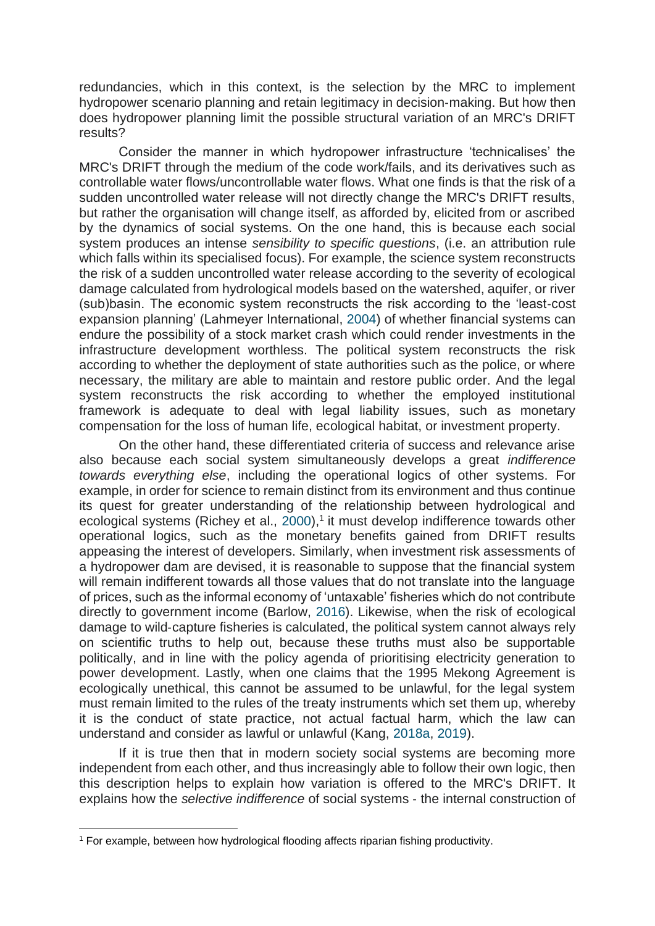redundancies, which in this context, is the selection by the MRC to implement hydropower scenario planning and retain legitimacy in decision‐making. But how then does hydropower planning limit the possible structural variation of an MRC's DRIFT results?

Consider the manner in which hydropower infrastructure 'technicalises' the MRC's DRIFT through the medium of the code work/fails, and its derivatives such as controllable water flows/uncontrollable water flows. What one finds is that the risk of a sudden uncontrolled water release will not directly change the MRC's DRIFT results, but rather the organisation will change itself, as afforded by, elicited from or ascribed by the dynamics of social systems. On the one hand, this is because each social system produces an intense *sensibility to specific questions*, (i.e. an attribution rule which falls within its specialised focus). For example, the science system reconstructs the risk of a sudden uncontrolled water release according to the severity of ecological damage calculated from hydrological models based on the watershed, aquifer, or river (sub)basin. The economic system reconstructs the risk according to the 'least‐cost expansion planning' (Lahmeyer International, [2004\)](https://onlinelibrary.wiley.com/doi/full/10.1002/sres.2635#sres2635-bib-0018) of whether financial systems can endure the possibility of a stock market crash which could render investments in the infrastructure development worthless. The political system reconstructs the risk according to whether the deployment of state authorities such as the police, or where necessary, the military are able to maintain and restore public order. And the legal system reconstructs the risk according to whether the employed institutional framework is adequate to deal with legal liability issues, such as monetary compensation for the loss of human life, ecological habitat, or investment property.

On the other hand, these differentiated criteria of success and relevance arise also because each social system simultaneously develops a great *indifference towards everything else*, including the operational logics of other systems. For example, in order for science to remain distinct from its environment and thus continue its quest for greater understanding of the relationship between hydrological and ecological systems (Richey et al.,  $2000$ ),<sup>1</sup> it must develop indifference towards other operational logics, such as the monetary benefits gained from DRIFT results appeasing the interest of developers. Similarly, when investment risk assessments of a hydropower dam are devised, it is reasonable to suppose that the financial system will remain indifferent towards all those values that do not translate into the language of prices, such as the informal economy of 'untaxable' fisheries which do not contribute directly to government income (Barlow, [2016\)](https://onlinelibrary.wiley.com/doi/full/10.1002/sres.2635#sres2635-bib-0005). Likewise, when the risk of ecological damage to wild‐capture fisheries is calculated, the political system cannot always rely on scientific truths to help out, because these truths must also be supportable politically, and in line with the policy agenda of prioritising electricity generation to power development. Lastly, when one claims that the 1995 Mekong Agreement is ecologically unethical, this cannot be assumed to be unlawful, for the legal system must remain limited to the rules of the treaty instruments which set them up, whereby it is the conduct of state practice, not actual factual harm, which the law can understand and consider as lawful or unlawful (Kang, [2018a,](https://onlinelibrary.wiley.com/doi/full/10.1002/sres.2635#sres2635-bib-0013) [2019\)](https://onlinelibrary.wiley.com/doi/full/10.1002/sres.2635#sres2635-bib-0015).

If it is true then that in modern society social systems are becoming more independent from each other, and thus increasingly able to follow their own logic, then this description helps to explain how variation is offered to the MRC's DRIFT. It explains how the *selective indifference* of social systems ‐ the internal construction of

<sup>&</sup>lt;sup>1</sup> For example, between how hydrological flooding affects riparian fishing productivity.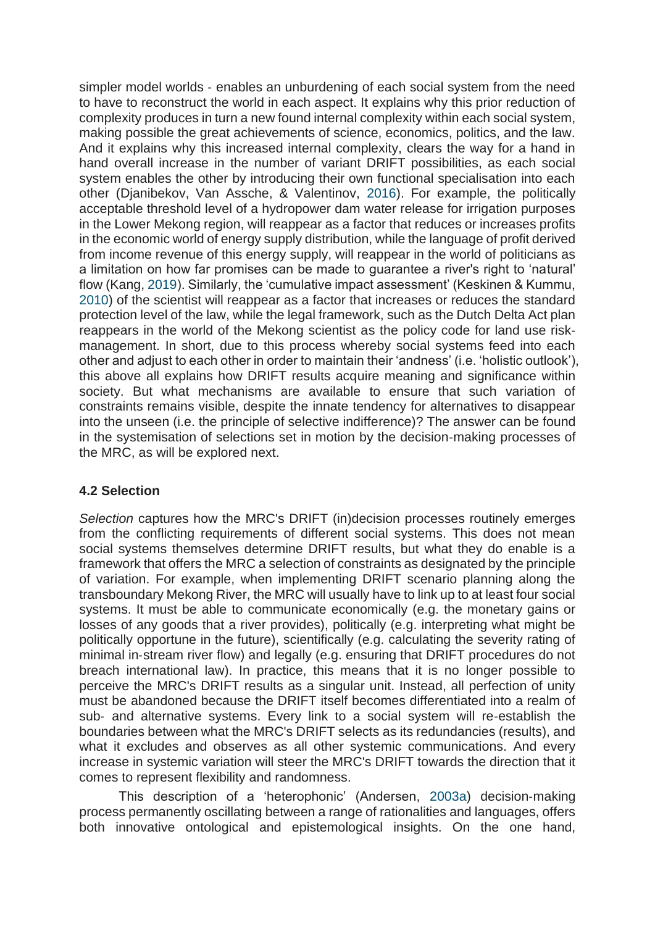simpler model worlds - enables an unburdening of each social system from the need to have to reconstruct the world in each aspect. It explains why this prior reduction of complexity produces in turn a new found internal complexity within each social system, making possible the great achievements of science, economics, politics, and the law. And it explains why this increased internal complexity, clears the way for a hand in hand overall increase in the number of variant DRIFT possibilities, as each social system enables the other by introducing their own functional specialisation into each other (Djanibekov, Van Assche, & Valentinov, [2016\)](https://onlinelibrary.wiley.com/doi/full/10.1002/sres.2635#sres2635-bib-0008). For example, the politically acceptable threshold level of a hydropower dam water release for irrigation purposes in the Lower Mekong region, will reappear as a factor that reduces or increases profits in the economic world of energy supply distribution, while the language of profit derived from income revenue of this energy supply, will reappear in the world of politicians as a limitation on how far promises can be made to guarantee a river's right to 'natural' flow (Kang, [2019\)](https://onlinelibrary.wiley.com/doi/full/10.1002/sres.2635#sres2635-bib-0015). Similarly, the 'cumulative impact assessment' (Keskinen & Kummu, [2010\)](https://onlinelibrary.wiley.com/doi/full/10.1002/sres.2635#sres2635-bib-0016) of the scientist will reappear as a factor that increases or reduces the standard protection level of the law, while the legal framework, such as the Dutch Delta Act plan reappears in the world of the Mekong scientist as the policy code for land use risk‐ management. In short, due to this process whereby social systems feed into each other and adjust to each other in order to maintain their 'andness' (i.e. 'holistic outlook'), this above all explains how DRIFT results acquire meaning and significance within society. But what mechanisms are available to ensure that such variation of constraints remains visible, despite the innate tendency for alternatives to disappear into the unseen (i.e. the principle of selective indifference)? The answer can be found in the systemisation of selections set in motion by the decision‐making processes of the MRC, as will be explored next.

# **4.2 Selection**

*Selection* captures how the MRC's DRIFT (in)decision processes routinely emerges from the conflicting requirements of different social systems. This does not mean social systems themselves determine DRIFT results, but what they do enable is a framework that offers the MRC a selection of constraints as designated by the principle of variation. For example, when implementing DRIFT scenario planning along the transboundary Mekong River, the MRC will usually have to link up to at least four social systems. It must be able to communicate economically (e.g. the monetary gains or losses of any goods that a river provides), politically (e.g. interpreting what might be politically opportune in the future), scientifically (e.g. calculating the severity rating of minimal in‐stream river flow) and legally (e.g. ensuring that DRIFT procedures do not breach international law). In practice, this means that it is no longer possible to perceive the MRC's DRIFT results as a singular unit. Instead, all perfection of unity must be abandoned because the DRIFT itself becomes differentiated into a realm of sub- and alternative systems. Every link to a social system will re-establish the boundaries between what the MRC's DRIFT selects as its redundancies (results), and what it excludes and observes as all other systemic communications. And every increase in systemic variation will steer the MRC's DRIFT towards the direction that it comes to represent flexibility and randomness.

This description of a 'heterophonic' (Andersen, [2003a\)](https://onlinelibrary.wiley.com/doi/full/10.1002/sres.2635#sres2635-bib-0003) decision‐making process permanently oscillating between a range of rationalities and languages, offers both innovative ontological and epistemological insights. On the one hand,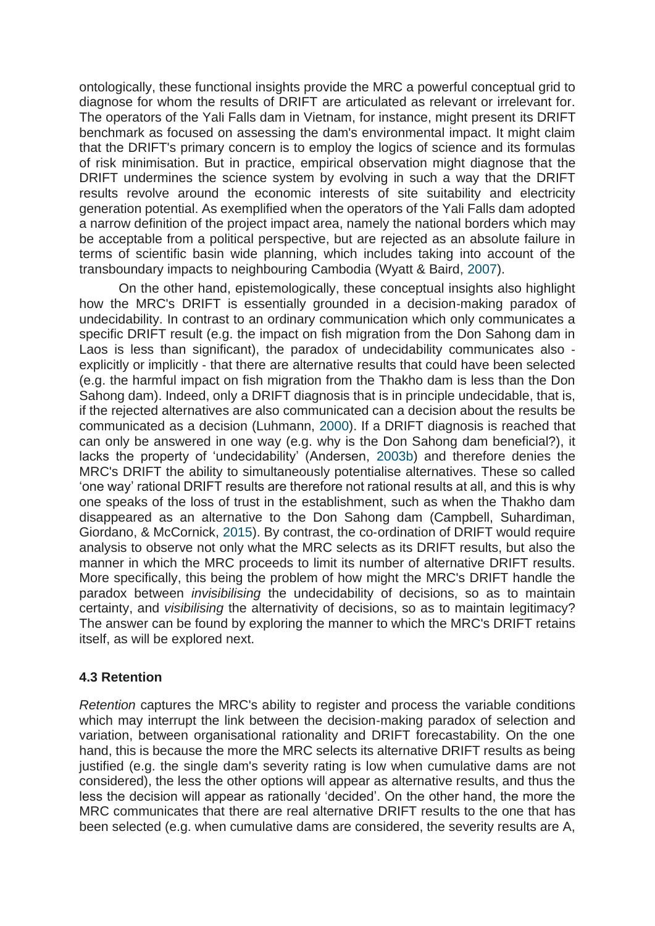ontologically, these functional insights provide the MRC a powerful conceptual grid to diagnose for whom the results of DRIFT are articulated as relevant or irrelevant for. The operators of the Yali Falls dam in Vietnam, for instance, might present its DRIFT benchmark as focused on assessing the dam's environmental impact. It might claim that the DRIFT's primary concern is to employ the logics of science and its formulas of risk minimisation. But in practice, empirical observation might diagnose that the DRIFT undermines the science system by evolving in such a way that the DRIFT results revolve around the economic interests of site suitability and electricity generation potential. As exemplified when the operators of the Yali Falls dam adopted a narrow definition of the project impact area, namely the national borders which may be acceptable from a political perspective, but are rejected as an absolute failure in terms of scientific basin wide planning, which includes taking into account of the transboundary impacts to neighbouring Cambodia (Wyatt & Baird, [2007\)](https://onlinelibrary.wiley.com/doi/full/10.1002/sres.2635#sres2635-bib-0041).

On the other hand, epistemologically, these conceptual insights also highlight how the MRC's DRIFT is essentially grounded in a decision-making paradox of undecidability. In contrast to an ordinary communication which only communicates a specific DRIFT result (e.g. the impact on fish migration from the Don Sahong dam in Laos is less than significant), the paradox of undecidability communicates also explicitly or implicitly ‐ that there are alternative results that could have been selected (e.g. the harmful impact on fish migration from the Thakho dam is less than the Don Sahong dam). Indeed, only a DRIFT diagnosis that is in principle undecidable, that is, if the rejected alternatives are also communicated can a decision about the results be communicated as a decision (Luhmann, [2000\)](https://onlinelibrary.wiley.com/doi/full/10.1002/sres.2635#sres2635-bib-0022). If a DRIFT diagnosis is reached that can only be answered in one way (e.g. why is the Don Sahong dam beneficial?), it lacks the property of 'undecidability' (Andersen, [2003b\)](https://onlinelibrary.wiley.com/doi/full/10.1002/sres.2635#sres2635-bib-0004) and therefore denies the MRC's DRIFT the ability to simultaneously potentialise alternatives. These so called 'one way' rational DRIFT results are therefore not rational results at all, and this is why one speaks of the loss of trust in the establishment, such as when the Thakho dam disappeared as an alternative to the Don Sahong dam (Campbell, Suhardiman, Giordano, & McCornick, [2015\)](https://onlinelibrary.wiley.com/doi/full/10.1002/sres.2635#sres2635-bib-0007). By contrast, the co-ordination of DRIFT would require analysis to observe not only what the MRC selects as its DRIFT results, but also the manner in which the MRC proceeds to limit its number of alternative DRIFT results. More specifically, this being the problem of how might the MRC's DRIFT handle the paradox between *invisibilising* the undecidability of decisions, so as to maintain certainty, and *visibilising* the alternativity of decisions, so as to maintain legitimacy? The answer can be found by exploring the manner to which the MRC's DRIFT retains itself, as will be explored next.

### **4.3 Retention**

*Retention* captures the MRC's ability to register and process the variable conditions which may interrupt the link between the decision-making paradox of selection and variation, between organisational rationality and DRIFT forecastability. On the one hand, this is because the more the MRC selects its alternative DRIFT results as being justified (e.g. the single dam's severity rating is low when cumulative dams are not considered), the less the other options will appear as alternative results, and thus the less the decision will appear as rationally 'decided'. On the other hand, the more the MRC communicates that there are real alternative DRIFT results to the one that has been selected (e.g. when cumulative dams are considered, the severity results are A,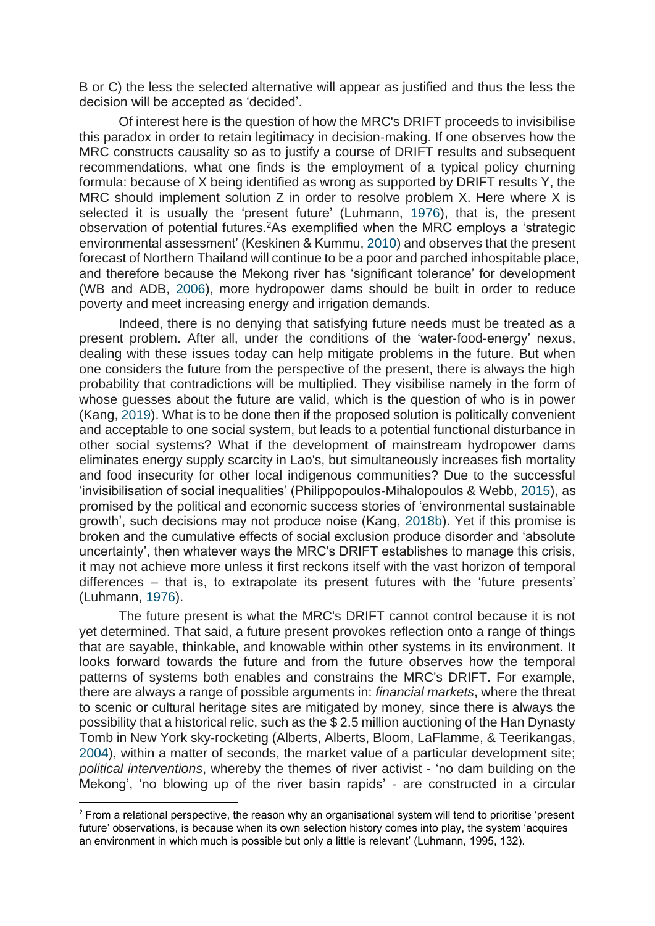B or C) the less the selected alternative will appear as justified and thus the less the decision will be accepted as 'decided'.

Of interest here is the question of how the MRC's DRIFT proceeds to invisibilise this paradox in order to retain legitimacy in decision‐making. If one observes how the MRC constructs causality so as to justify a course of DRIFT results and subsequent recommendations, what one finds is the employment of a typical policy churning formula: because of X being identified as wrong as supported by DRIFT results Y, the MRC should implement solution Z in order to resolve problem X. Here where X is selected it is usually the 'present future' (Luhmann, [1976\)](https://onlinelibrary.wiley.com/doi/full/10.1002/sres.2635#sres2635-bib-0020), that is, the present observation of potential futures.<sup>2</sup>As exemplified when the MRC employs a 'strategic environmental assessment' (Keskinen & Kummu, [2010\)](https://onlinelibrary.wiley.com/doi/full/10.1002/sres.2635#sres2635-bib-0016) and observes that the present forecast of Northern Thailand will continue to be a poor and parched inhospitable place, and therefore because the Mekong river has 'significant tolerance' for development (WB and ADB, [2006\)](https://onlinelibrary.wiley.com/doi/full/10.1002/sres.2635#sres2635-bib-0040), more hydropower dams should be built in order to reduce poverty and meet increasing energy and irrigation demands.

Indeed, there is no denying that satisfying future needs must be treated as a present problem. After all, under the conditions of the 'water-food-energy' nexus, dealing with these issues today can help mitigate problems in the future. But when one considers the future from the perspective of the present, there is always the high probability that contradictions will be multiplied. They visibilise namely in the form of whose guesses about the future are valid, which is the question of who is in power (Kang, [2019\)](https://onlinelibrary.wiley.com/doi/full/10.1002/sres.2635#sres2635-bib-0015). What is to be done then if the proposed solution is politically convenient and acceptable to one social system, but leads to a potential functional disturbance in other social systems? What if the development of mainstream hydropower dams eliminates energy supply scarcity in Lao's, but simultaneously increases fish mortality and food insecurity for other local indigenous communities? Due to the successful 'invisibilisation of social inequalities' (Philippopoulos‐Mihalopoulos & Webb, [2015\)](https://onlinelibrary.wiley.com/doi/full/10.1002/sres.2635#sres2635-bib-0031), as promised by the political and economic success stories of 'environmental sustainable growth', such decisions may not produce noise (Kang, [2018b\)](https://onlinelibrary.wiley.com/doi/full/10.1002/sres.2635#sres2635-bib-0014). Yet if this promise is broken and the cumulative effects of social exclusion produce disorder and 'absolute uncertainty', then whatever ways the MRC's DRIFT establishes to manage this crisis, it may not achieve more unless it first reckons itself with the vast horizon of temporal differences – that is, to extrapolate its present futures with the 'future presents' (Luhmann, [1976\)](https://onlinelibrary.wiley.com/doi/full/10.1002/sres.2635#sres2635-bib-0020).

The future present is what the MRC's DRIFT cannot control because it is not yet determined. That said, a future present provokes reflection onto a range of things that are sayable, thinkable, and knowable within other systems in its environment. It looks forward towards the future and from the future observes how the temporal patterns of systems both enables and constrains the MRC's DRIFT. For example, there are always a range of possible arguments in: *financial markets*, where the threat to scenic or cultural heritage sites are mitigated by money, since there is always the possibility that a historical relic, such as the \$ 2.5 million auctioning of the Han Dynasty Tomb in New York sky‐rocketing (Alberts, Alberts, Bloom, LaFlamme, & Teerikangas, [2004\)](https://onlinelibrary.wiley.com/doi/full/10.1002/sres.2635#sres2635-bib-0001), within a matter of seconds, the market value of a particular development site; *political interventions*, whereby the themes of river activist ‐ 'no dam building on the Mekong', 'no blowing up of the river basin rapids' ‐ are constructed in a circular

 $2$  From a relational perspective, the reason why an organisational system will tend to prioritise 'present future' observations, is because when its own selection history comes into play, the system 'acquires an environment in which much is possible but only a little is relevant' (Luhmann, 1995, 132).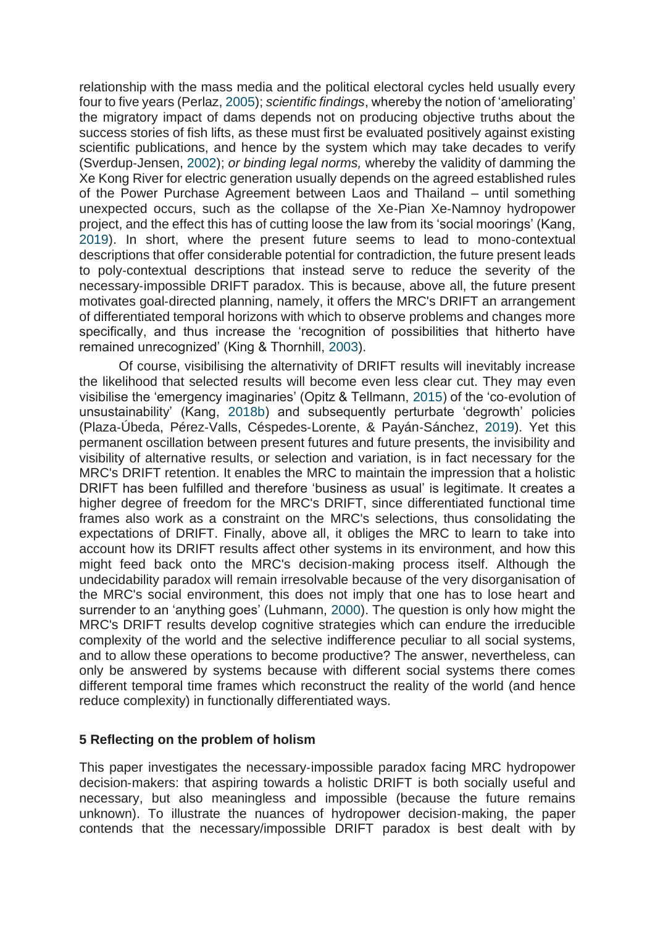relationship with the mass media and the political electoral cycles held usually every four to five years (Perlaz, [2005\)](https://onlinelibrary.wiley.com/doi/full/10.1002/sres.2635#sres2635-bib-0030); *scientific findings*, whereby the notion of 'ameliorating' the migratory impact of dams depends not on producing objective truths about the success stories of fish lifts, as these must first be evaluated positively against existing scientific publications, and hence by the system which may take decades to verify (Sverdup‐Jensen, [2002\)](https://onlinelibrary.wiley.com/doi/full/10.1002/sres.2635#sres2635-bib-0038); *or binding legal norms,* whereby the validity of damming the Xe Kong River for electric generation usually depends on the agreed established rules of the Power Purchase Agreement between Laos and Thailand – until something unexpected occurs, such as the collapse of the Xe‐Pian Xe‐Namnoy hydropower project, and the effect this has of cutting loose the law from its 'social moorings' (Kang, [2019\)](https://onlinelibrary.wiley.com/doi/full/10.1002/sres.2635#sres2635-bib-0015). In short, where the present future seems to lead to mono‐contextual descriptions that offer considerable potential for contradiction, the future present leads to poly‐contextual descriptions that instead serve to reduce the severity of the necessary‐impossible DRIFT paradox. This is because, above all, the future present motivates goal-directed planning, namely, it offers the MRC's DRIFT an arrangement of differentiated temporal horizons with which to observe problems and changes more specifically, and thus increase the 'recognition of possibilities that hitherto have remained unrecognized' (King & Thornhill, [2003\)](https://onlinelibrary.wiley.com/doi/full/10.1002/sres.2635#sres2635-bib-0017).

Of course, visibilising the alternativity of DRIFT results will inevitably increase the likelihood that selected results will become even less clear cut. They may even visibilise the 'emergency imaginaries' (Opitz & Tellmann, [2015\)](https://onlinelibrary.wiley.com/doi/full/10.1002/sres.2635#sres2635-bib-0029) of the 'co-evolution of unsustainability' (Kang, [2018b\)](https://onlinelibrary.wiley.com/doi/full/10.1002/sres.2635#sres2635-bib-0014) and subsequently perturbate 'degrowth' policies (Plaza‐Úbeda, Pérez‐Valls, Céspedes‐Lorente, & Payán‐Sánchez, [2019\)](https://onlinelibrary.wiley.com/doi/full/10.1002/sres.2635#sres2635-bib-0032). Yet this permanent oscillation between present futures and future presents, the invisibility and visibility of alternative results, or selection and variation, is in fact necessary for the MRC's DRIFT retention. It enables the MRC to maintain the impression that a holistic DRIFT has been fulfilled and therefore 'business as usual' is legitimate. It creates a higher degree of freedom for the MRC's DRIFT, since differentiated functional time frames also work as a constraint on the MRC's selections, thus consolidating the expectations of DRIFT. Finally, above all, it obliges the MRC to learn to take into account how its DRIFT results affect other systems in its environment, and how this might feed back onto the MRC's decision‐making process itself. Although the undecidability paradox will remain irresolvable because of the very disorganisation of the MRC's social environment, this does not imply that one has to lose heart and surrender to an 'anything goes' (Luhmann, [2000\)](https://onlinelibrary.wiley.com/doi/full/10.1002/sres.2635#sres2635-bib-0022). The question is only how might the MRC's DRIFT results develop cognitive strategies which can endure the irreducible complexity of the world and the selective indifference peculiar to all social systems, and to allow these operations to become productive? The answer, nevertheless, can only be answered by systems because with different social systems there comes different temporal time frames which reconstruct the reality of the world (and hence reduce complexity) in functionally differentiated ways.

### **5 Reflecting on the problem of holism**

This paper investigates the necessary‐impossible paradox facing MRC hydropower decision‐makers: that aspiring towards a holistic DRIFT is both socially useful and necessary, but also meaningless and impossible (because the future remains unknown). To illustrate the nuances of hydropower decision‐making, the paper contends that the necessary/impossible DRIFT paradox is best dealt with by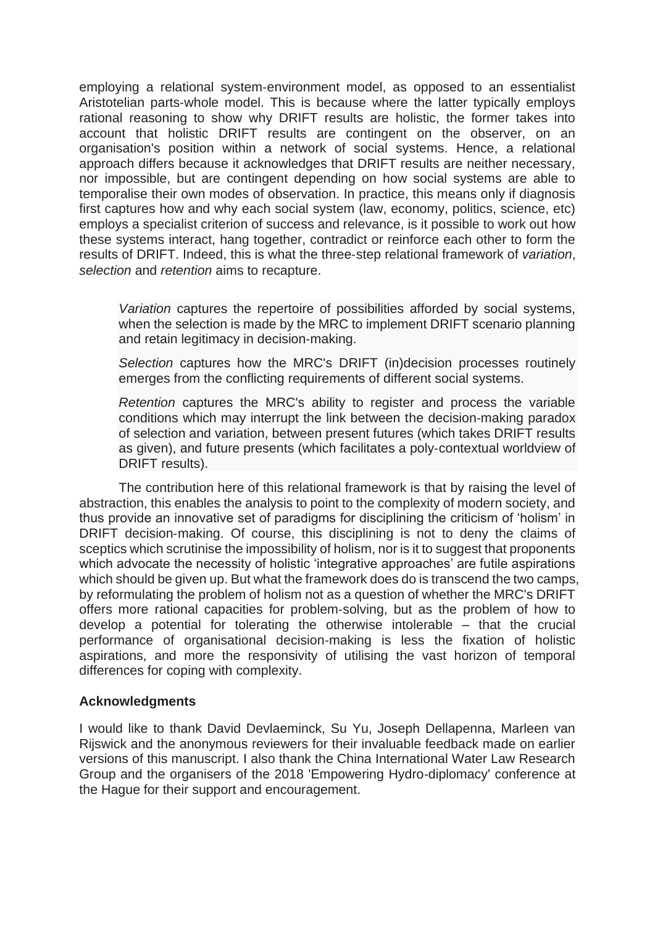employing a relational system‐environment model, as opposed to an essentialist Aristotelian parts‐whole model. This is because where the latter typically employs rational reasoning to show why DRIFT results are holistic, the former takes into account that holistic DRIFT results are contingent on the observer, on an organisation's position within a network of social systems. Hence, a relational approach differs because it acknowledges that DRIFT results are neither necessary, nor impossible, but are contingent depending on how social systems are able to temporalise their own modes of observation. In practice, this means only if diagnosis first captures how and why each social system (law, economy, politics, science, etc) employs a specialist criterion of success and relevance, is it possible to work out how these systems interact, hang together, contradict or reinforce each other to form the results of DRIFT. Indeed, this is what the three‐step relational framework of *variation*, *selection* and *retention* aims to recapture.

*Variation* captures the repertoire of possibilities afforded by social systems, when the selection is made by the MRC to implement DRIFT scenario planning and retain legitimacy in decision‐making.

*Selection* captures how the MRC's DRIFT (in)decision processes routinely emerges from the conflicting requirements of different social systems.

*Retention* captures the MRC's ability to register and process the variable conditions which may interrupt the link between the decision‐making paradox of selection and variation, between present futures (which takes DRIFT results as given), and future presents (which facilitates a poly‐contextual worldview of DRIFT results).

The contribution here of this relational framework is that by raising the level of abstraction, this enables the analysis to point to the complexity of modern society, and thus provide an innovative set of paradigms for disciplining the criticism of 'holism' in DRIFT decision-making. Of course, this disciplining is not to deny the claims of sceptics which scrutinise the impossibility of holism, nor is it to suggest that proponents which advocate the necessity of holistic 'integrative approaches' are futile aspirations which should be given up. But what the framework does do is transcend the two camps, by reformulating the problem of holism not as a question of whether the MRC's DRIFT offers more rational capacities for problem‐solving, but as the problem of how to develop a potential for tolerating the otherwise intolerable – that the crucial performance of organisational decision‐making is less the fixation of holistic aspirations, and more the responsivity of utilising the vast horizon of temporal differences for coping with complexity.

#### **Acknowledgments**

I would like to thank David Devlaeminck, Su Yu, Joseph Dellapenna, Marleen van Rijswick and the anonymous reviewers for their invaluable feedback made on earlier versions of this manuscript. I also thank the China International Water Law Research Group and the organisers of the 2018 'Empowering Hydro‐diplomacy' conference at the Hague for their support and encouragement.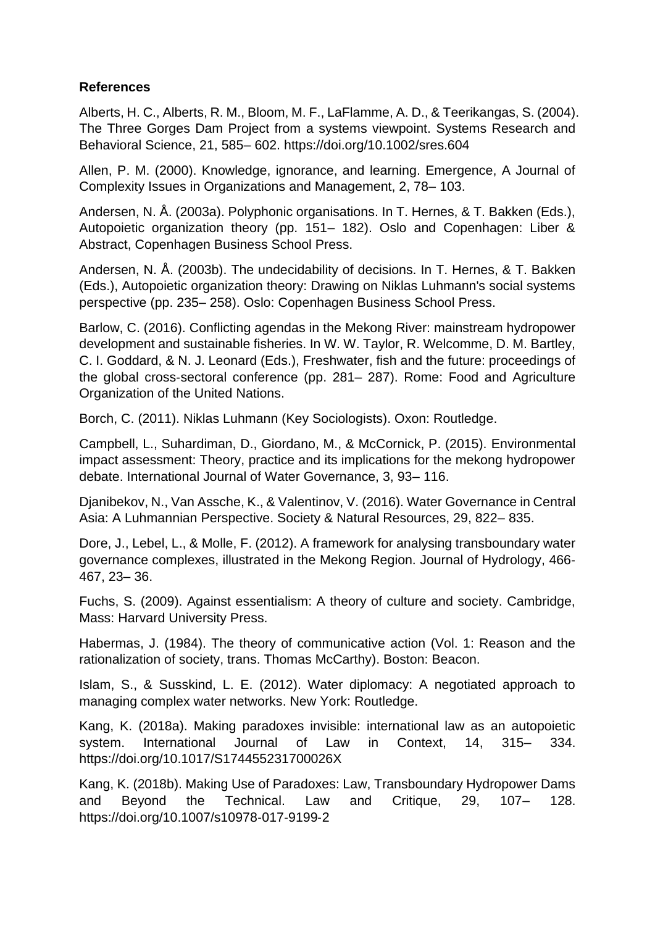# **References**

Alberts, H. C., Alberts, R. M., Bloom, M. F., LaFlamme, A. D., & Teerikangas, S. (2004). The Three Gorges Dam Project from a systems viewpoint. Systems Research and Behavioral Science, 21, 585– 602. https://doi.org/10.1002/sres.604

Allen, P. M. (2000). Knowledge, ignorance, and learning. Emergence, A Journal of Complexity Issues in Organizations and Management, 2, 78– 103.

Andersen, N. Å. (2003a). Polyphonic organisations. In T. Hernes, & T. Bakken (Eds.), Autopoietic organization theory (pp. 151– 182). Oslo and Copenhagen: Liber & Abstract, Copenhagen Business School Press.

Andersen, N. Å. (2003b). The undecidability of decisions. In T. Hernes, & T. Bakken (Eds.), Autopoietic organization theory: Drawing on Niklas Luhmann's social systems perspective (pp. 235– 258). Oslo: Copenhagen Business School Press.

Barlow, C. (2016). Conflicting agendas in the Mekong River: mainstream hydropower development and sustainable fisheries. In W. W. Taylor, R. Welcomme, D. M. Bartley, C. I. Goddard, & N. J. Leonard (Eds.), Freshwater, fish and the future: proceedings of the global cross‐sectoral conference (pp. 281– 287). Rome: Food and Agriculture Organization of the United Nations.

Borch, C. (2011). Niklas Luhmann (Key Sociologists). Oxon: Routledge.

Campbell, L., Suhardiman, D., Giordano, M., & McCornick, P. (2015). Environmental impact assessment: Theory, practice and its implications for the mekong hydropower debate. International Journal of Water Governance, 3, 93– 116.

Djanibekov, N., Van Assche, K., & Valentinov, V. (2016). Water Governance in Central Asia: A Luhmannian Perspective. Society & Natural Resources, 29, 822– 835.

Dore, J., Lebel, L., & Molle, F. (2012). A framework for analysing transboundary water governance complexes, illustrated in the Mekong Region. Journal of Hydrology, 466‐ 467, 23– 36.

Fuchs, S. (2009). Against essentialism: A theory of culture and society. Cambridge, Mass: Harvard University Press.

Habermas, J. (1984). The theory of communicative action (Vol. 1: Reason and the rationalization of society, trans. Thomas McCarthy). Boston: Beacon.

Islam, S., & Susskind, L. E. (2012). Water diplomacy: A negotiated approach to managing complex water networks. New York: Routledge.

Kang, K. (2018a). Making paradoxes invisible: international law as an autopoietic system. International Journal of Law in Context, 14, 315– 334. https://doi.org/10.1017/S174455231700026X

Kang, K. (2018b). Making Use of Paradoxes: Law, Transboundary Hydropower Dams and Beyond the Technical. Law and Critique, 29, 107– 128. https://doi.org/10.1007/s10978‐017‐9199‐2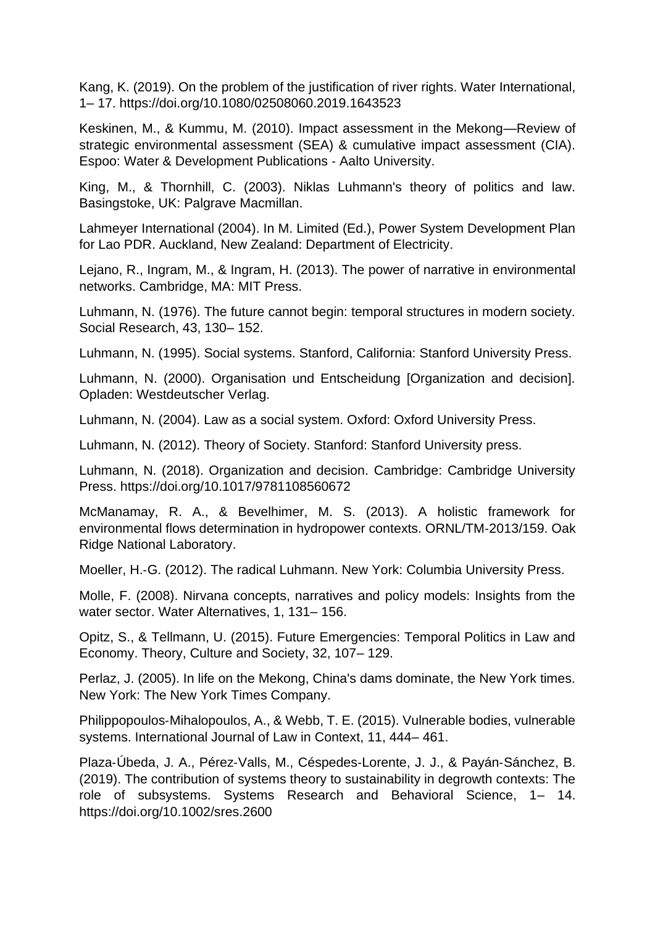Kang, K. (2019). On the problem of the justification of river rights. Water International, 1– 17. https://doi.org/10.1080/02508060.2019.1643523

Keskinen, M., & Kummu, M. (2010). Impact assessment in the Mekong—Review of strategic environmental assessment (SEA) & cumulative impact assessment (CIA). Espoo: Water & Development Publications ‐ Aalto University.

King, M., & Thornhill, C. (2003). Niklas Luhmann's theory of politics and law. Basingstoke, UK: Palgrave Macmillan.

Lahmeyer International (2004). In M. Limited (Ed.), Power System Development Plan for Lao PDR. Auckland, New Zealand: Department of Electricity.

Lejano, R., Ingram, M., & Ingram, H. (2013). The power of narrative in environmental networks. Cambridge, MA: MIT Press.

Luhmann, N. (1976). The future cannot begin: temporal structures in modern society. Social Research, 43, 130– 152.

Luhmann, N. (1995). Social systems. Stanford, California: Stanford University Press.

Luhmann, N. (2000). Organisation und Entscheidung [Organization and decision]. Opladen: Westdeutscher Verlag.

Luhmann, N. (2004). Law as a social system. Oxford: Oxford University Press.

Luhmann, N. (2012). Theory of Society. Stanford: Stanford University press.

Luhmann, N. (2018). Organization and decision. Cambridge: Cambridge University Press. https://doi.org/10.1017/9781108560672

McManamay, R. A., & Bevelhimer, M. S. (2013). A holistic framework for environmental flows determination in hydropower contexts. ORNL/TM‐2013/159. Oak Ridge National Laboratory.

Moeller, H.‐G. (2012). The radical Luhmann. New York: Columbia University Press.

Molle, F. (2008). Nirvana concepts, narratives and policy models: Insights from the water sector. Water Alternatives, 1, 131– 156.

Opitz, S., & Tellmann, U. (2015). Future Emergencies: Temporal Politics in Law and Economy. Theory, Culture and Society, 32, 107– 129.

Perlaz, J. (2005). In life on the Mekong, China's dams dominate, the New York times. New York: The New York Times Company.

Philippopoulos‐Mihalopoulos, A., & Webb, T. E. (2015). Vulnerable bodies, vulnerable systems. International Journal of Law in Context, 11, 444– 461.

Plaza‐Úbeda, J. A., Pérez‐Valls, M., Céspedes‐Lorente, J. J., & Payán‐Sánchez, B. (2019). The contribution of systems theory to sustainability in degrowth contexts: The role of subsystems. Systems Research and Behavioral Science, 1– 14. https://doi.org/10.1002/sres.2600